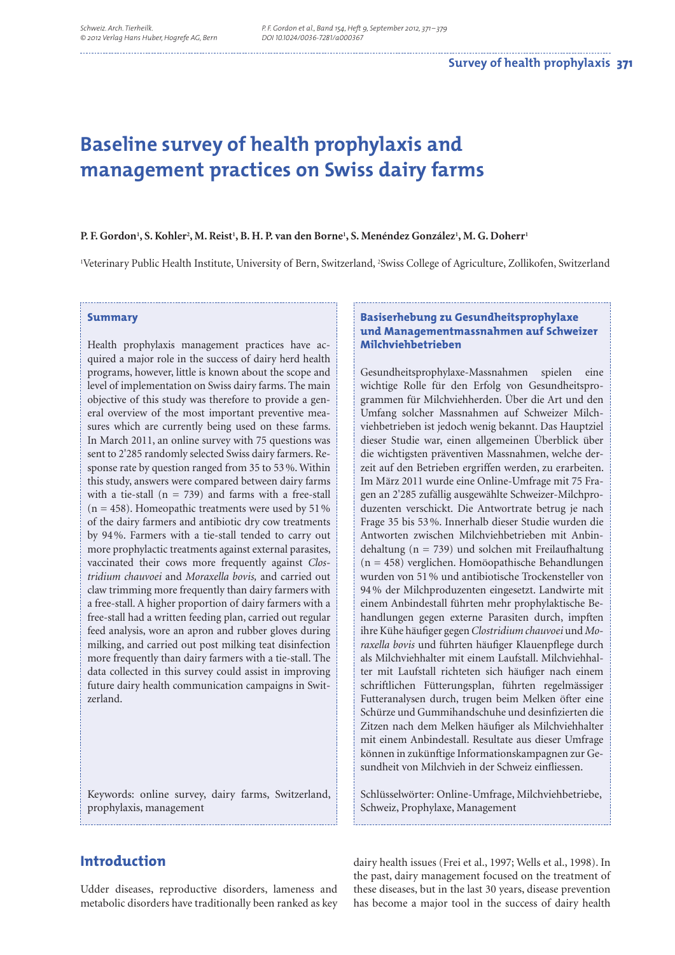# **Baseline survey of health prophylaxis and management practices on Swiss dairy farms**

## **P. F. Gordon1 , S. Kohler2 , M. Reist1 , B. H. P. van den Borne1 , S. Menéndez González1 , M. G. Doherr1**

1 Veterinary Public Health Institute, University of Bern, Switzerland, 2 Swiss College of Agriculture, Zollikofen, Switzerland

#### **Summary**

Health prophylaxis management practices have acquired a major role in the success of dairy herd health programs, however, little is known about the scope and level of implementation on Swiss dairy farms. The main objective of this study was therefore to provide a general overview of the most important preventive measures which are currently being used on these farms. In March 2011, an online survey with 75 questions was sent to 2'285 randomly selected Swiss dairy farmers. Response rate by question ranged from 35 to 53 %. Within this study, answers were compared between dairy farms with a tie-stall ( $n = 739$ ) and farms with a free-stall  $(n = 458)$ . Homeopathic treatments were used by 51% of the dairy farmers and antibiotic dry cow treatments by 94 %. Farmers with a tie-stall tended to carry out more prophylactic treatments against external parasites, vaccinated their cows more frequently against *Clostridium chauvoei* and *Moraxella bovis,* and carried out claw trimming more frequently than dairy farmers with a free-stall. A higher proportion of dairy farmers with a free-stall had a written feeding plan, carried out regular feed analysis, wore an apron and rubber gloves during milking, and carried out post milking teat disinfection more frequently than dairy farmers with a tie-stall. The data collected in this survey could assist in improving future dairy health communication campaigns in Switzerland.

Keywords: online survey, dairy farms, Switzerland, prophylaxis, management

## **Basiserhebung zu Gesundheitsprophylaxe und Managementmassnahmen auf Schweizer Milchviehbetrieben**

Gesundheitsprophylaxe-Massnahmen spielen eine wichtige Rolle für den Erfolg von Gesundheitsprogrammen für Milchviehherden. Über die Art und den Umfang solcher Massnahmen auf Schweizer Milchviehbetrieben ist jedoch wenig bekannt. Das Hauptziel dieser Studie war, einen allgemeinen Überblick über die wichtigsten präventiven Massnahmen, welche derzeit auf den Betrieben ergriffen werden, zu erarbeiten. Im März 2011 wurde eine Online-Umfrage mit 75 Fragen an 2'285 zufällig ausgewählte Schweizer-Milchproduzenten verschickt. Die Antwortrate betrug je nach Frage 35 bis 53 %. Innerhalb dieser Studie wurden die Antworten zwischen Milchviehbetrieben mit Anbindehaltung (n = 739) und solchen mit Freilaufhaltung (n = 458) verglichen. Homöopathische Behandlungen wurden von 51 % und antibiotische Trockensteller von 94 % der Milchproduzenten eingesetzt. Landwirte mit einem Anbindestall führten mehr prophylaktische Behandlungen gegen externe Parasiten durch, impften ihre Kühe häufiger gegen Clostridium chauvoei und Moraxella bovis und führten häufiger Klauenpflege durch als Milchviehhalter mit einem Laufstall. Milchviehhalter mit Laufstall richteten sich häufiger nach einem schriftlichen Fütterungsplan, führten regelmässiger Futteranalysen durch, trugen beim Melken öfter eine Schürze und Gummihandschuhe und desinfizierten die Zitzen nach dem Melken häufiger als Milchviehhalter mit einem Anbindestall. Resultate aus dieser Umfrage können in zukünftige Informationskampagnen zur Gesundheit von Milchvieh in der Schweiz einfliessen.

Schlüsselwörter: Online-Umfrage, Milchviehbetriebe, Schweiz, Prophylaxe, Management

# **Introduction**

Udder diseases, reproductive disorders, lameness and metabolic disorders have traditionally been ranked as key

dairy health issues (Frei et al., 1997; Wells et al., 1998). In the past, dairy management focused on the treatment of these diseases, but in the last 30 years, disease prevention has become a major tool in the success of dairy health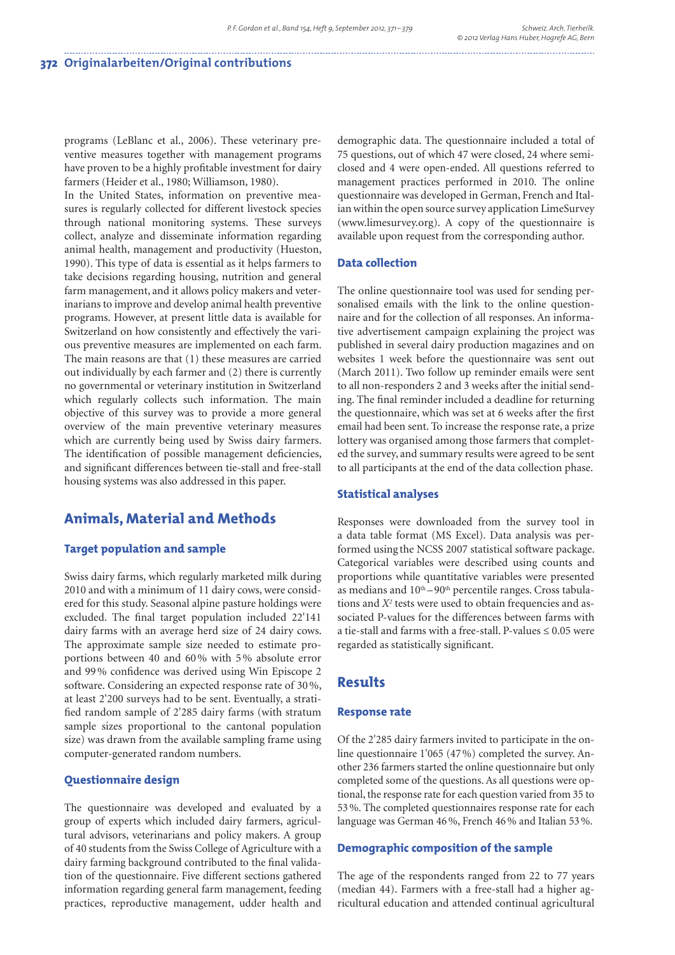programs (LeBlanc et al., 2006). These veterinary preventive measures together with management programs have proven to be a highly profitable investment for dairy farmers (Heider et al., 1980; Williamson, 1980).

In the United States, information on preventive measures is regularly collected for different livestock species through national monitoring systems. These surveys collect, analyze and disseminate information regarding animal health, management and productivity (Hueston, 1990). This type of data is essential as it helps farmers to take decisions regarding housing, nutrition and general farm management, and it allows policy makers and veterinarians to improve and develop animal health preventive programs. However, at present little data is available for Switzerland on how consistently and effectively the various preventive measures are implemented on each farm. The main reasons are that (1) these measures are carried out individually by each farmer and (2) there is currently no governmental or veterinary institution in Switzerland which regularly collects such information. The main objective of this survey was to provide a more general overview of the main preventive veterinary measures which are currently being used by Swiss dairy farmers. The identification of possible management deficiencies, and significant differences between tie-stall and free-stall housing systems was also addressed in this paper.

## **Animals, Material and Methods**

## **Target population and sample**

Swiss dairy farms, which regularly marketed milk during 2010 and with a minimum of 11 dairy cows, were considered for this study. Seasonal alpine pasture holdings were excluded. The final target population included 22'141 dairy farms with an average herd size of 24 dairy cows. The approximate sample size needed to estimate proportions between 40 and 60 % with 5 % absolute error and 99% confidence was derived using Win Episcope 2 software. Considering an expected response rate of 30 %, at least 2'200 surveys had to be sent. Eventually, a stratified random sample of 2'285 dairy farms (with stratum sample sizes proportional to the cantonal population size) was drawn from the available sampling frame using computer-generated random numbers.

## **Questionnaire design**

The questionnaire was developed and evaluated by a group of experts which included dairy farmers, agricultural advisors, veterinarians and policy makers. A group of 40 students from the Swiss College of Agriculture with a dairy farming background contributed to the final validation of the questionnaire. Five different sections gathered information regarding general farm management, feeding practices, reproductive management, udder health and

demographic data. The questionnaire included a total of 75 questions, out of which 47 were closed, 24 where semiclosed and 4 were open-ended. All questions referred to management practices performed in 2010. The online questionnaire was developed in German, French and Italian within the open source survey application LimeSurvey (www.limesurvey.org). A copy of the questionnaire is available upon request from the corresponding author.

## **Data collection**

The online questionnaire tool was used for sending personalised emails with the link to the online questionnaire and for the collection of all responses. An informative advertisement campaign explaining the project was published in several dairy production magazines and on websites 1 week before the questionnaire was sent out (March 2011). Two follow up reminder emails were sent to all non-responders 2 and 3 weeks after the initial sending. The final reminder included a deadline for returning the questionnaire, which was set at 6 weeks after the first email had been sent. To increase the response rate, a prize lottery was organised among those farmers that completed the survey, and summary results were agreed to be sent to all participants at the end of the data collection phase.

#### **Statistical analyses**

Responses were downloaded from the survey tool in a data table format (MS Excel). Data analysis was performed using the NCSS 2007 statistical software package. Categorical variables were described using counts and proportions while quantitative variables were presented as medians and  $10^{th}-90^{th}$  percentile ranges. Cross tabulations and *X*<sup>2</sup> tests were used to obtain frequencies and associated P-values for the differences between farms with a tie-stall and farms with a free-stall. P-values  $\leq 0.05$  were regarded as statistically significant.

## **Results**

#### **Response rate**

Of the 2'285 dairy farmers invited to participate in the online questionnaire 1'065 (47 %) completed the survey. Another 236 farmers started the online questionnaire but only completed some of the questions. As all questions were optional, the response rate for each question varied from 35 to 53 %. The completed questionnaires response rate for each language was German 46 %, French 46 % and Italian 53 %.

### **Demographic composition of the sample**

The age of the respondents ranged from 22 to 77 years (median 44). Farmers with a free-stall had a higher agricultural education and attended continual agricultural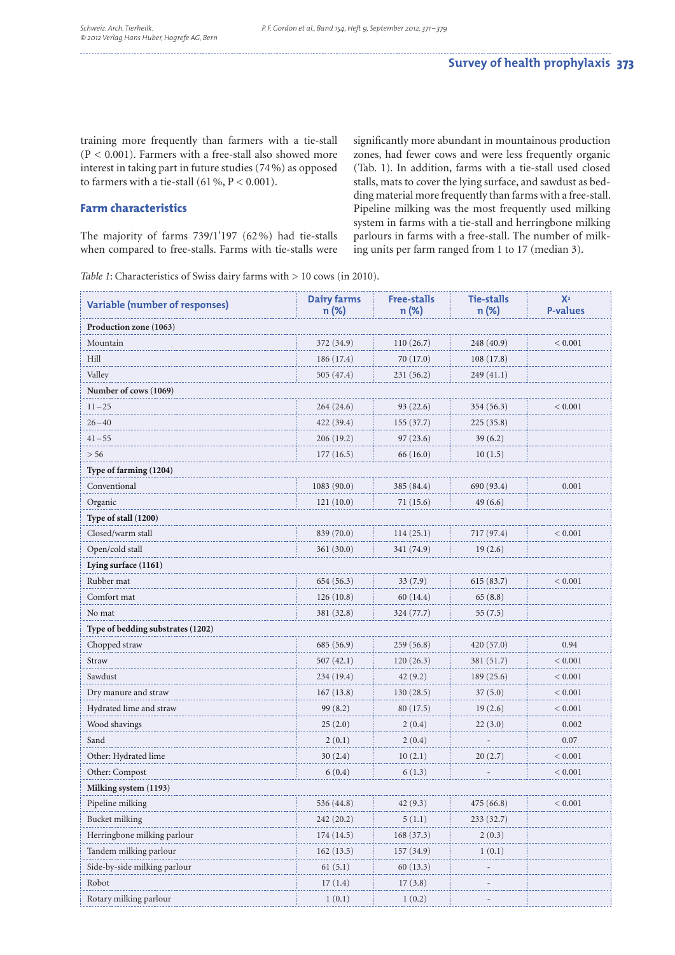training more frequently than farmers with a tie-stall (P < 0.001). Farmers with a free-stall also showed more interest in taking part in future studies (74 %) as opposed to farmers with a tie-stall  $(61\%, P < 0.001)$ .

## **Farm characteristics**

The majority of farms 739/1'197 (62 %) had tie-stalls when compared to free-stalls. Farms with tie-stalls were significantly more abundant in mountainous production zones, had fewer cows and were less frequently organic (Tab. 1). In addition, farms with a tie-stall used closed stalls, mats to cover the lying surface, and sawdust as bedding material more frequently than farms with a free-stall. Pipeline milking was the most frequently used milking system in farms with a tie-stall and herringbone milking parlours in farms with a free-stall. The number of milking units per farm ranged from 1 to 17 (median 3).

*Table 1*: Characteristics of Swiss dairy farms with > 10 cows (in 2010).

| <b>Variable (number of responses)</b> | <b>Dairy farms</b><br>n (%) | <b>Free-stalls</b><br>n (%) | <b>Tie-stalls</b><br>n (%) | $X^2$<br><b>P-values</b> |
|---------------------------------------|-----------------------------|-----------------------------|----------------------------|--------------------------|
| Production zone (1063)                |                             |                             |                            |                          |
| Mountain                              | 372 (34.9)                  | 110(26.7)                   | 248 (40.9)                 | < 0.001                  |
| Hill                                  | 186(17.4)                   | 70 (17.0)                   | 108(17.8)                  |                          |
| Valley                                | 505 (47.4)                  | 231(56.2)                   | 249 (41.1)                 |                          |
| Number of cows (1069)                 |                             |                             |                            |                          |
| $11 - 25$                             | 264(24.6)                   | 93(22.6)                    | 354 (56.3)                 | < 0.001                  |
| $26 - 40$                             | 422 (39.4)                  | 155(37.7)                   | 225(35.8)                  |                          |
| $41 - 55$                             | 206 (19.2)                  | 97 (23.6)                   | 39 (6.2)                   |                          |
| > 56                                  | 177(16.5)                   | 66 (16.0)                   | 10(1.5)                    |                          |
| Type of farming (1204)                |                             |                             |                            |                          |
| Conventional                          | 1083 (90.0)                 | 385 (84.4)                  | 690 (93.4)                 | 0.001                    |
| Organic                               | 121(10.0)                   | 71 (15.6)                   | 49(6.6)                    |                          |
| Type of stall (1200)                  |                             |                             |                            |                          |
| Closed/warm stall                     | 839 (70.0)                  | 114(25.1)                   | 717 (97.4)                 | < 0.001                  |
| Open/cold stall                       | 361(30.0)                   | 341 (74.9)                  | 19(2.6)                    |                          |
| Lying surface (1161)                  |                             |                             |                            |                          |
| Rubber mat                            | 654 (56.3)                  | 33(7.9)                     | 615(83.7)                  | < 0.001                  |
| Comfort mat                           | 126(10.8)                   | 60 (14.4)                   | 65(8.8)                    |                          |
| No mat                                | 381 (32.8)                  | 324 (77.7)                  | 55(7.5)                    |                          |
| Type of bedding substrates (1202)     |                             |                             |                            |                          |
| Chopped straw                         | 685 (56.9)                  | 259(56.8)                   | 420(57.0)                  | 0.94                     |
| Straw                                 | 507(42.1)                   | 120(26.3)                   | 381 (51.7)                 | < 0.001                  |
| Sawdust                               | 234 (19.4)                  | 42(9.2)                     | 189 (25.6)                 | < 0.001                  |
| Dry manure and straw                  | 167(13.8)                   | 130(28.5)                   | 37(5.0)                    | < 0.001                  |
| Hydrated lime and straw               | 99 (8.2)                    | 80 $(17.5)$                 | 19(2.6)                    | < 0.001                  |
| Wood shavings                         | 25(2.0)                     | 2(0.4)                      | 22(3.0)                    | 0.002                    |
| Sand                                  | 2(0.1)                      | 2(0.4)                      |                            | 0.07                     |
| Other: Hydrated lime                  | 30(2.4)                     | 10(2.1)                     | 20(2.7)                    | < 0.001                  |
| Other: Compost                        | 6(0.4)                      | 6(1.3)                      |                            | < 0.001                  |
| Milking system (1193)                 |                             |                             |                            |                          |
| Pipeline milking                      | 536 (44.8)                  | 42(9.3)                     | 475 (66.8)                 | < 0.001                  |
| Bucket milking                        | 242 (20.2)                  | 5(1.1)                      | 233 (32.7)                 |                          |
| Herringbone milking parlour           | 174 (14.5)                  | 168 (37.3)                  | 2(0.3)                     |                          |
| Tandem milking parlour                | 162(13.5)                   | 157 (34.9)                  | 1(0.1)                     |                          |
| Side-by-side milking parlour          | 61(5.1)                     | 60(13.3)                    |                            |                          |
| Robot                                 | 17(1.4)                     | 17(3.8)                     |                            |                          |
| Rotary milking parlour                | 1(0.1)                      | 1(0.2)                      |                            |                          |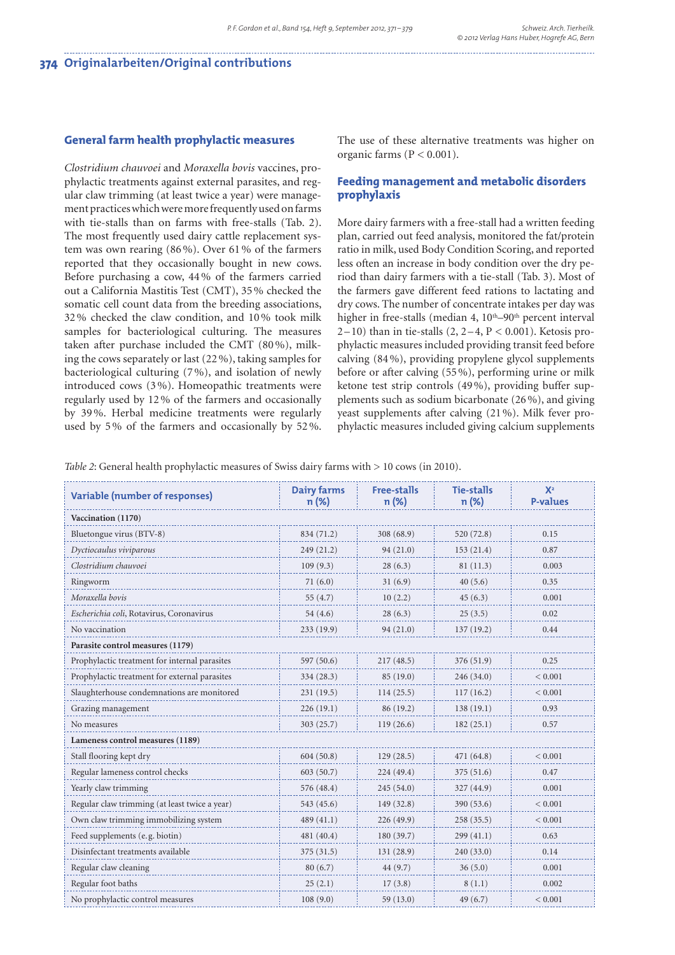#### **General farm health prophylactic measures**

*Clostridium chauvoei* and *Moraxella bovis* vaccines, prophylactic treatments against external parasites, and regular claw trimming (at least twice a year) were management practices which were more frequently used on farms with tie-stalls than on farms with free-stalls (Tab. 2). The most frequently used dairy cattle replacement system was own rearing (86 %). Over 61 % of the farmers reported that they occasionally bought in new cows. Before purchasing a cow, 44 % of the farmers carried out a California Mastitis Test (CMT), 35 % checked the somatic cell count data from the breeding associations, 32 % checked the claw condition, and 10 % took milk samples for bacteriological culturing. The measures taken after purchase included the CMT (80 %), milking the cows separately or last (22 %), taking samples for bacteriological culturing (7 %), and isolation of newly introduced cows (3 %). Homeopathic treatments were regularly used by 12 % of the farmers and occasionally by 39 %. Herbal medicine treatments were regularly used by 5 % of the farmers and occasionally by 52 %.

The use of these alternative treatments was higher on organic farms (P < 0.001).

## **Feeding management and metabolic disorders prophylaxis**

More dairy farmers with a free-stall had a written feeding plan, carried out feed analysis, monitored the fat/protein ratio in milk, used Body Condition Scoring, and reported less often an increase in body condition over the dry period than dairy farmers with a tie-stall (Tab. 3). Most of the farmers gave different feed rations to lactating and dry cows. The number of concentrate intakes per day was higher in free-stalls (median 4,  $10<sup>th</sup>-90<sup>th</sup>$  percent interval  $2-10$ ) than in tie-stalls  $(2, 2-4, P < 0.001)$ . Ketosis prophylactic measures included providing transit feed before calving (84 %), providing propylene glycol supplements before or after calving (55 %), performing urine or milk ketone test strip controls (49 %), providing buffer supplements such as sodium bicarbonate (26 %), and giving yeast supplements after calving (21 %). Milk fever prophylactic measures included giving calcium supplements

*Table 2*: General health prophylactic measures of Swiss dairy farms with  $> 10$  cows (in 2010).

| <b>Variable (number of responses)</b>         | <b>Dairy farms</b><br>$n (\%)$ | <b>Free-stalls</b><br>n (%) | <b>Tie-stalls</b><br>n (%) | $X^2$<br><b>P-values</b> |  |
|-----------------------------------------------|--------------------------------|-----------------------------|----------------------------|--------------------------|--|
| Vaccination (1170)                            |                                |                             |                            |                          |  |
| Bluetongue virus (BTV-8)                      | 834 (71.2)                     | 308 (68.9)                  | 520 (72.8)                 | 0.15                     |  |
| Dyctiocaulus viviparous                       | 249 (21.2)                     | 94(21.0)                    | 153(21.4)                  | 0.87                     |  |
| Clostridium chauvoei                          | 109(9.3)                       | 28(6.3)                     | 81 (11.3)                  | 0.003                    |  |
| Ringworm                                      | 71(6.0)                        | 31(6.9)                     | 40(5.6)                    | 0.35                     |  |
| Moraxella bovis                               | 55 $(4.7)$                     | 10(2.2)                     | 45(6.3)                    | 0.001                    |  |
| Escherichia coli, Rotavirus, Coronavirus      | 54(4.6)                        | 28(6.3)                     | 25(3.5)                    | 0.02                     |  |
| No vaccination                                | 233(19.9)                      | 94(21.0)                    | 137(19.2)                  | 0.44                     |  |
| Parasite control measures (1179)              |                                |                             |                            |                          |  |
| Prophylactic treatment for internal parasites | 597 (50.6)                     | 217(48.5)                   | 376 (51.9)                 | 0.25                     |  |
| Prophylactic treatment for external parasites | 334 (28.3)                     | 85 (19.0)                   | 246(34.0)                  | ${}< 0.001$              |  |
| Slaughterhouse condemnations are monitored    | 231(19.5)                      | 114(25.5)                   | 117(16.2)                  | < 0.001                  |  |
| Grazing management                            | 226(19.1)                      | 86 (19.2)                   | 138(19.1)                  | 0.93                     |  |
| No measures                                   | 303 (25.7)                     | 119(26.6)                   | 182(25.1)                  | 0.57                     |  |
| Lameness control measures (1189)              |                                |                             |                            |                          |  |
| Stall flooring kept dry                       | 604(50.8)                      | 129(28.5)                   | 471 (64.8)                 | ${}< 0.001$              |  |
| Regular lameness control checks               | 603(50.7)                      | 224(49.4)                   | 375(51.6)                  | 0.47                     |  |
| Yearly claw trimming                          | 576 (48.4)                     | 245(54.0)                   | 327 (44.9)                 | 0.001                    |  |
| Regular claw trimming (at least twice a year) | 543 (45.6)                     | 149 (32.8)                  | 390 (53.6)                 | ${}_{0.001}$             |  |
| Own claw trimming immobilizing system         | 489(41.1)                      | 226(49.9)                   | 258(35.5)                  | ${}< 0.001$              |  |
| Feed supplements (e.g. biotin)                | 481 (40.4)                     | 180(39.7)                   | 299(41.1)                  | 0.63                     |  |
| Disinfectant treatments available             | 375(31.5)                      | 131(28.9)                   | 240(33.0)                  | 0.14                     |  |
| Regular claw cleaning                         | 80(6.7)                        | 44(9.7)                     | 36(5.0)                    | 0.001                    |  |
| Regular foot baths                            | 25(2.1)                        | 17(3.8)                     | 8(1.1)                     | 0.002                    |  |
| No prophylactic control measures              | 108(9.0)                       | 59(13.0)                    | 49(6.7)                    | < 0.001                  |  |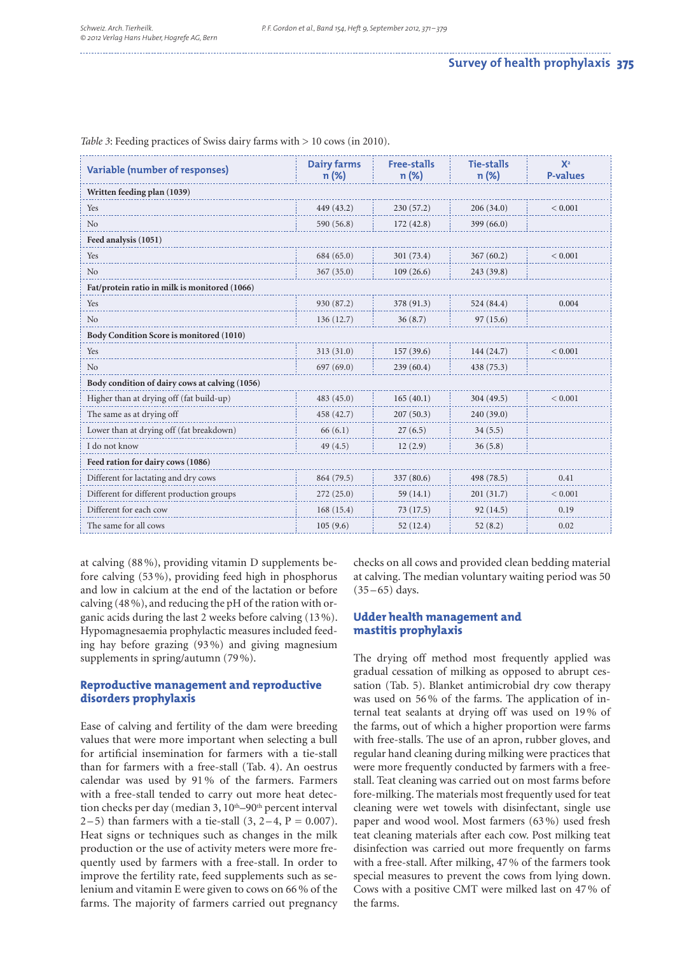| <b>Variable (number of responses)</b>          | <b>Dairy farms</b><br>$n(\%)$ | <b>Free-stalls</b><br>n (%) | <b>Tie-stalls</b><br>n (%) | $X^2$<br><b>P-values</b> |
|------------------------------------------------|-------------------------------|-----------------------------|----------------------------|--------------------------|
| Written feeding plan (1039)                    |                               |                             |                            |                          |
| Yes                                            | 449 (43.2)                    | 230(57.2)                   | 206(34.0)                  | ${}_{0.001}$             |
| No                                             | 590 (56.8)                    | 172(42.8)                   | 399(66.0)                  |                          |
| Feed analysis (1051)                           |                               |                             |                            |                          |
| Yes                                            | 684 (65.0)                    | 301 (73.4)                  | 367(60.2)                  | ${}< 0.001$              |
| No                                             | 367(35.0)                     | 109(26.6)                   | 243 (39.8)                 |                          |
| Fat/protein ratio in milk is monitored (1066)  |                               |                             |                            |                          |
| Yes                                            | 930 (87.2)                    | 378 (91.3)                  | 524 (84.4)                 | 0.004                    |
| No                                             | 136(12.7)                     | 36(8.7)                     | 97(15.6)                   |                          |
| Body Condition Score is monitored (1010)       |                               |                             |                            |                          |
| Yes                                            | 313(31.0)                     | 157(39.6)                   | 144 (24.7)                 | < 0.001                  |
| No                                             | 697(69.0)                     | 239(60.4)                   | 438 (75.3)                 |                          |
| Body condition of dairy cows at calving (1056) |                               |                             |                            |                          |
| Higher than at drying off (fat build-up)       | 483(45.0)                     | 165(40.1)                   | 304(49.5)                  | ${}< 0.001$              |
| The same as at drying off                      | 458 (42.7)                    | 207(50.3)                   | 240 (39.0)                 |                          |
| Lower than at drying off (fat breakdown)       | 66(6.1)                       | 27(6.5)                     | 34(5.5)                    |                          |
| I do not know                                  | 49(4.5)                       | 12(2.9)                     | 36(5.8)                    |                          |
| Feed ration for dairy cows (1086)              |                               |                             |                            |                          |
| Different for lactating and dry cows           | 864 (79.5)                    | 337 (80.6)                  | 498 (78.5)                 | 0.41                     |
| Different for different production groups      | 272(25.0)                     | 59(14.1)                    | 201(31.7)                  | ${}< 0.001$              |
| Different for each cow                         | 168(15.4)                     | 73(17.5)                    | 92(14.5)                   | 0.19                     |
| The same for all cows                          | 105(9.6)                      | 52(12.4)                    | 52(8.2)                    | 0.02                     |

*Table 3*: Feeding practices of Swiss dairy farms with > 10 cows (in 2010).

at calving (88 %), providing vitamin D supplements before calving (53 %), providing feed high in phosphorus and low in calcium at the end of the lactation or before calving (48 %), and reducing the pH of the ration with organic acids during the last 2 weeks before calving (13 %). Hypomagnesaemia prophylactic measures included feeding hay before grazing (93 %) and giving magnesium supplements in spring/autumn (79 %).

## **Reproductive management and reproductive disorders prophylaxis**

Ease of calving and fertility of the dam were breeding values that were more important when selecting a bull for artificial insemination for farmers with a tie-stall than for farmers with a free-stall (Tab. 4). An oestrus calendar was used by 91 % of the farmers. Farmers with a free-stall tended to carry out more heat detection checks per day (median 3, 10<sup>th</sup>–90<sup>th</sup> percent interval 2 – 5) than farmers with a tie-stall  $(3, 2-4, P = 0.007)$ . Heat signs or techniques such as changes in the milk production or the use of activity meters were more frequently used by farmers with a free-stall. In order to improve the fertility rate, feed supplements such as selenium and vitamin E were given to cows on 66 % of the farms. The majority of farmers carried out pregnancy checks on all cows and provided clean bedding material at calving. The median voluntary waiting period was 50  $(35 - 65)$  days.

## **Udder health management and mastitis prophylaxis**

The drying off method most frequently applied was gradual cessation of milking as opposed to abrupt cessation (Tab. 5). Blanket antimicrobial dry cow therapy was used on 56 % of the farms. The application of internal teat sealants at drying off was used on 19 % of the farms, out of which a higher proportion were farms with free-stalls. The use of an apron, rubber gloves, and regular hand cleaning during milking were practices that were more frequently conducted by farmers with a freestall. Teat cleaning was carried out on most farms before fore-milking. The materials most frequently used for teat cleaning were wet towels with disinfectant, single use paper and wood wool. Most farmers (63 %) used fresh teat cleaning materials after each cow. Post milking teat disinfection was carried out more frequently on farms with a free-stall. After milking, 47 % of the farmers took special measures to prevent the cows from lying down. Cows with a positive CMT were milked last on 47 % of the farms.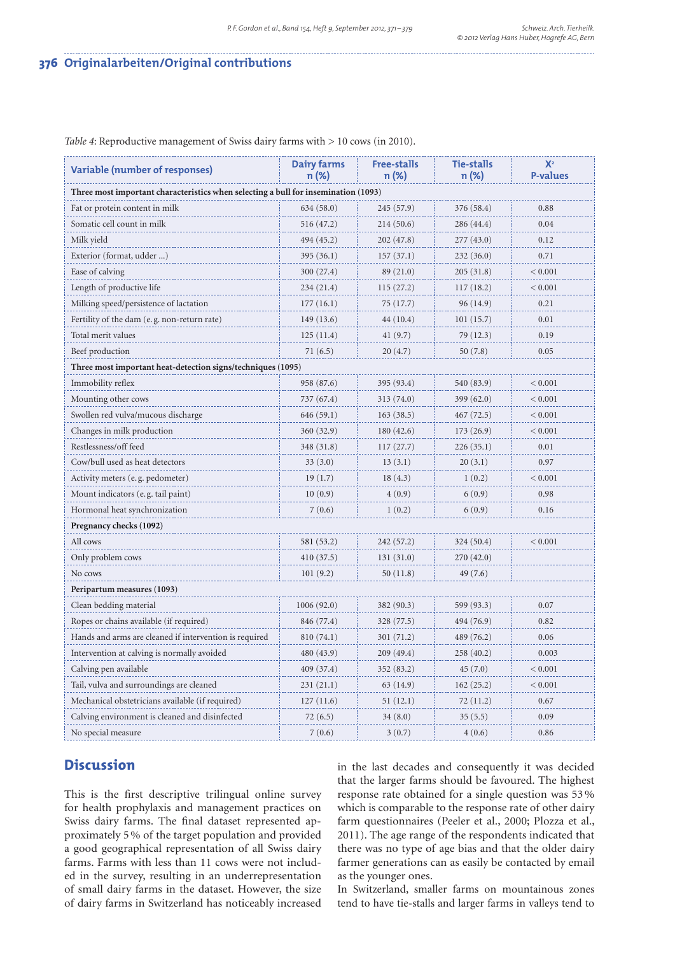## **376 Originalarbeiten/Original contributions**

| <b>Variable (number of responses)</b>                                              | Dairy farms<br>$n (\%)$ | <b>Free-stalls</b><br>n (%) | <b>Tie-stalls</b><br>n (%) | $X^2$<br><b>P-values</b> |
|------------------------------------------------------------------------------------|-------------------------|-----------------------------|----------------------------|--------------------------|
| Three most important characteristics when selecting a bull for insemination (1093) |                         |                             |                            |                          |
| Fat or protein content in milk                                                     | 634 (58.0)              | 245 (57.9)                  | 376 (58.4)                 | 0.88                     |
| Somatic cell count in milk                                                         | 516 (47.2)              | 214(50.6)                   | 286 (44.4)                 | 0.04                     |
| Milk yield                                                                         | 494 (45.2)              | 202 (47.8)                  | 277 (43.0)                 | 0.12                     |
| Exterior (format, udder )                                                          | 395 (36.1)              | 157(37.1)                   | 232 (36.0)                 | 0.71                     |
| Ease of calving                                                                    | 300 (27.4)              | 89 (21.0)                   | 205 (31.8)                 | < 0.001                  |
| Length of productive life                                                          | 234 (21.4)              | 115(27.2)                   | 117(18.2)                  | ${}< 0.001$              |
| Milking speed/persistence of lactation                                             | 177(16.1)               | 75(17.7)                    | 96 (14.9)                  | 0.21                     |
| Fertility of the dam (e.g. non-return rate)                                        | 149 (13.6)              | 44 (10.4)                   | 101(15.7)                  | 0.01                     |
| Total merit values                                                                 | 125(11.4)               | 41(9.7)                     | 79 (12.3)                  | 0.19                     |
| Beef production                                                                    | 71(6.5)                 | 20(4.7)                     | 50(7.8)                    | 0.05                     |
| Three most important heat-detection signs/techniques (1095)                        |                         |                             |                            |                          |
| Immobility reflex                                                                  | 958 (87.6)              | 395 (93.4)                  | 540 (83.9)                 | ${}_{0.001}$             |
| Mounting other cows                                                                | 737 (67.4)              | 313 (74.0)                  | 399(62.0)                  | ${}_{< 0.001}$           |
| Swollen red vulva/mucous discharge                                                 | 646 (59.1)              | 163(38.5)                   | 467 (72.5)                 | < 0.001                  |
| Changes in milk production                                                         | 360 (32.9)              | 180(42.6)                   | 173 (26.9)                 | ${}_{0.001}$             |
| Restlessness/off feed                                                              | 348 (31.8)              | 117(27.7)                   | 226(35.1)                  | 0.01                     |
| Cow/bull used as heat detectors                                                    | 33(3.0)                 | 13(3.1)                     | 20(3.1)                    | 0.97                     |
| Activity meters (e.g. pedometer)                                                   | 19(1.7)                 | 18(4.3)                     | 1(0.2)                     | < 0.001                  |
| Mount indicators (e.g. tail paint)                                                 | 10(0.9)                 | 4(0.9)                      | 6(0.9)                     | 0.98                     |
| Hormonal heat synchronization                                                      | 7(0.6)                  | 1(0.2)                      | 6(0.9)                     | 0.16                     |
| Pregnancy checks (1092)                                                            |                         |                             |                            |                          |
| All cows                                                                           | 581 (53.2)              | 242 (57.2)                  | 324 (50.4)                 | < 0.001                  |
| Only problem cows                                                                  | 410 (37.5)              | 131 (31.0)                  | 270 (42.0)                 |                          |
| No cows                                                                            | 101(9.2)                | 50 (11.8)                   | 49 (7.6)                   |                          |
| Peripartum measures (1093)                                                         |                         |                             |                            |                          |
| Clean bedding material                                                             | 1006(92.0)              | 382 (90.3)                  | 599 (93.3)                 | 0.07                     |
| Ropes or chains available (if required)                                            | 846 (77.4)              | 328 (77.5)                  | 494 (76.9)                 | 0.82                     |
| Hands and arms are cleaned if intervention is required                             | 810 (74.1)              | 301 (71.2)                  | 489 (76.2)                 | 0.06                     |
| Intervention at calving is normally avoided                                        | 480 (43.9)              | 209 (49.4)                  | 258 (40.2)                 | 0.003                    |
| Calving pen available                                                              | 409 (37.4)              | 352 (83.2)                  | 45 (7.0)                   | < 0.001                  |
| Tail, vulva and surroundings are cleaned                                           | 231 (21.1)              | 63 (14.9)                   | 162(25.2)                  | ${}_{0.001}$             |
| Mechanical obstetricians available (if required)                                   | 127(11.6)               | 51(12.1)                    | 72 (11.2)                  | 0.67                     |
| Calving environment is cleaned and disinfected                                     | 72(6.5)                 | 34(8.0)                     | 35(5.5)                    | 0.09                     |
| No special measure                                                                 | 7(0.6)                  | 3(0.7)                      | 4(0.6)                     | 0.86                     |

*Table 4*: Reproductive management of Swiss dairy farms with > 10 cows (in 2010).

## **Discussion**

This is the first descriptive trilingual online survey for health prophylaxis and management practices on Swiss dairy farms. The final dataset represented approximately 5 % of the target population and provided a good geographical representation of all Swiss dairy farms. Farms with less than 11 cows were not included in the survey, resulting in an underrepresentation of small dairy farms in the dataset. However, the size of dairy farms in Switzerland has noticeably increased

in the last decades and consequently it was decided that the larger farms should be favoured. The highest response rate obtained for a single question was 53 % which is comparable to the response rate of other dairy farm questionnaires (Peeler et al., 2000; Plozza et al., 2011). The age range of the respondents indicated that there was no type of age bias and that the older dairy farmer generations can as easily be contacted by email as the younger ones.

In Switzerland, smaller farms on mountainous zones tend to have tie-stalls and larger farms in valleys tend to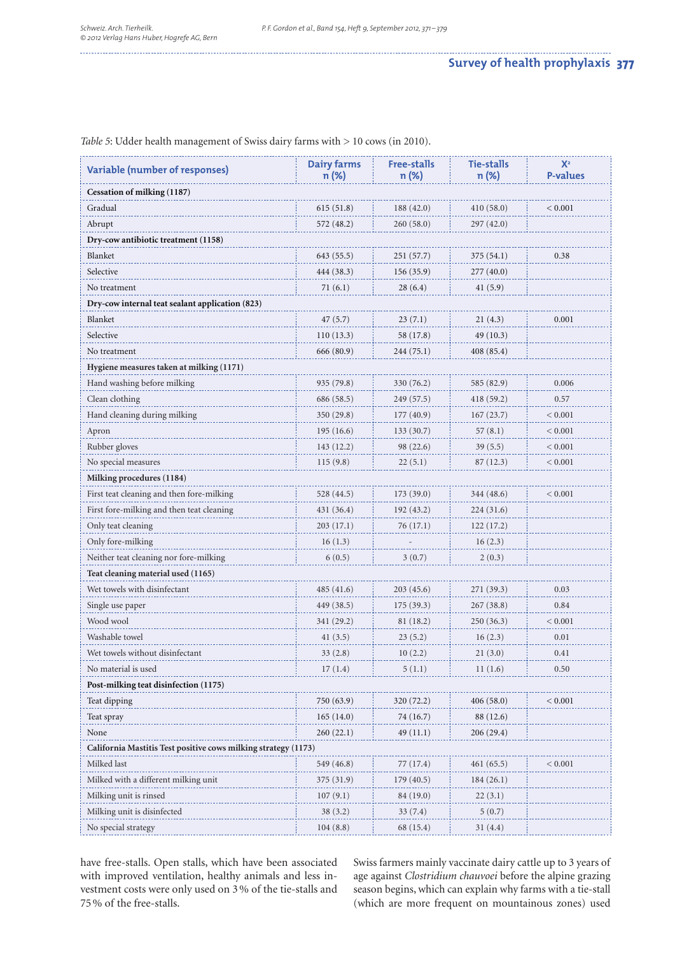|                                                                | <b>Dairy farms</b> | Free-stalls | <b>Tie-stalls</b> | $X^2$             |  |
|----------------------------------------------------------------|--------------------|-------------|-------------------|-------------------|--|
| <b>Variable (number of responses)</b>                          | $n (\%)$           | n (%)       | n (%)             | <b>P-values</b>   |  |
| Cessation of milking (1187)                                    |                    |             |                   |                   |  |
| Gradual                                                        | 615(51.8)          | 188(42.0)   | 410(58.0)         | ${}< 0.001$       |  |
| Abrupt                                                         | 572 (48.2)         | 260(58.0)   | 297 (42.0)        |                   |  |
| Dry-cow antibiotic treatment (1158)                            |                    |             |                   |                   |  |
| Blanket                                                        | 643 (55.5)         | 251 (57.7)  | 375(54.1)         | 0.38              |  |
| Selective                                                      | 444 (38.3)         | 156 (35.9)  | 277 (40.0)        |                   |  |
| No treatment                                                   | 71(6.1)            | 28(6.4)     | 41(5.9)           |                   |  |
| Dry-cow internal teat sealant application (823)                |                    |             |                   |                   |  |
| Blanket                                                        | 47 (5.7)           | 23(7.1)     | 21(4.3)           | 0.001             |  |
| Selective                                                      | 110(13.3)          | 58 (17.8)   | 49 (10.3)         |                   |  |
| No treatment                                                   | 666 (80.9)         | 244 (75.1)  | 408(85.4)         |                   |  |
| Hygiene measures taken at milking (1171)                       |                    |             |                   |                   |  |
| Hand washing before milking                                    | 935 (79.8)         | 330 (76.2)  | 585 (82.9)        | 0.006             |  |
| Clean clothing                                                 | 686 (58.5)         | 249 (57.5)  | 418 (59.2)        | 0.57              |  |
| Hand cleaning during milking                                   | 350 (29.8)         | 177(40.9)   | 167(23.7)         | ${}_{< 0.001}$    |  |
| Apron                                                          | 195(16.6)          | 133(30.7)   | 57(8.1)           | ${}_{0.001}$      |  |
| Rubber gloves                                                  | 143 (12.2)         | 98 (22.6)   | 39(5.5)           | < 0.001           |  |
| No special measures                                            | 115(9.8)           | 22(5.1)     | 87 (12.3)         | ${}_{0.001}$      |  |
| Milking procedures (1184)                                      |                    |             |                   |                   |  |
| First teat cleaning and then fore-milking                      | 528 (44.5)         | 173(39.0)   | 344 (48.6)        | < 0.001           |  |
| First fore-milking and then teat cleaning                      | 431 (36.4)         | 192 (43.2)  | 224 (31.6)        |                   |  |
| Only teat cleaning                                             | 203 (17.1)         | 76 (17.1)   | 122(17.2)         |                   |  |
| Only fore-milking                                              | 16(1.3)            |             | 16(2.3)           |                   |  |
| Neither teat cleaning nor fore-milking                         | 6(0.5)             | 3(0.7)      | 2(0.3)            |                   |  |
| Teat cleaning material used (1165)                             |                    |             |                   |                   |  |
| Wet towels with disinfectant                                   | 485 (41.6)         | 203(45.6)   | 271 (39.3)        | 0.03              |  |
| Single use paper                                               | 449 (38.5)         | 175 (39.3)  | 267(38.8)         | 0.84              |  |
| Wood wool                                                      | 341 (29.2)         | 81 (18.2)   | 250 (36.3)        | ${}_{\leq 0.001}$ |  |
| Washable towel                                                 | 41(3.5)            | 23(5.2)     | 16(2.3)           | 0.01              |  |
| Wet towels without disinfectant                                | 33(2.8)            | 10(2.2)     | 21(3.0)           | 0.41              |  |
| No material is used                                            | 17(1.4)            | 5(1.1)      | 11(1.6)           | 0.50              |  |
| Post-milking teat disinfection (1175)                          |                    |             |                   |                   |  |
| Teat dipping                                                   | 750 (63.9)         | 320 (72.2)  | 406 (58.0)        | < 0.001           |  |
| Teat spray                                                     | 165(14.0)          | 74 (16.7)   | 88 (12.6)         |                   |  |
| None                                                           | 260(22.1)          | 49 (11.1)   | 206 (29.4)        |                   |  |
| California Mastitis Test positive cows milking strategy (1173) |                    |             |                   |                   |  |
| Milked last                                                    | 549 (46.8)         | 77 (17.4)   | 461(65.5)         | < 0.001           |  |
| Milked with a different milking unit                           | 375 (31.9)         | 179(40.5)   | 184(26.1)         |                   |  |
| Milking unit is rinsed                                         | 107(9.1)           | 84 (19.0)   | 22 (3.1)          |                   |  |
| Milking unit is disinfected                                    | 38 (3.2)           | 33(7.4)     | 5(0.7)            |                   |  |
| No special strategy                                            | 104(8.8)           | 68 (15.4)   | 31(4.4)           |                   |  |

*Table 5*: Udder health management of Swiss dairy farms with > 10 cows (in 2010).

have free-stalls. Open stalls, which have been associated with improved ventilation, healthy animals and less investment costs were only used on 3 % of the tie-stalls and 75 % of the free-stalls.

Swiss farmers mainly vaccinate dairy cattle up to 3 years of age against *Clostridium chauvoei* before the alpine grazing season begins, which can explain why farms with a tie-stall (which are more frequent on mountainous zones) used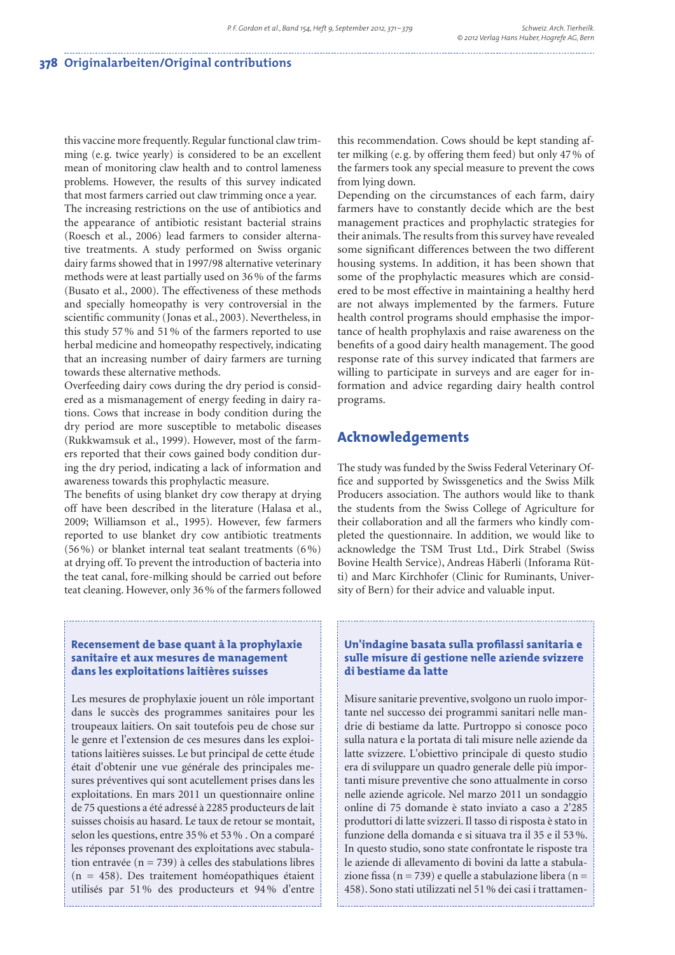this vaccine more frequently. Regular functional claw trimming (e.g. twice yearly) is considered to be an excellent mean of monitoring claw health and to control lameness problems. However, the results of this survey indicated that most farmers carried out claw trimming once a year. The increasing restrictions on the use of antibiotics and the appearance of antibiotic resistant bacterial strains (Roesch et al., 2006) lead farmers to consider alternative treatments. A study performed on Swiss organic dairy farms showed that in 1997/98 alternative veterinary methods were at least partially used on 36 % of the farms (Busato et al., 2000). The effectiveness of these methods and specially homeopathy is very controversial in the scientific community (Jonas et al., 2003). Nevertheless, in this study 57 % and 51 % of the farmers reported to use herbal medicine and homeopathy respectively, indicating that an increasing number of dairy farmers are turning towards these alternative methods.

Overfeeding dairy cows during the dry period is considered as a mismanagement of energy feeding in dairy rations. Cows that increase in body condition during the dry period are more susceptible to metabolic diseases (Rukkwamsuk et al., 1999). However, most of the farmers reported that their cows gained body condition during the dry period, indicating a lack of information and awareness towards this prophylactic measure.

The benefits of using blanket dry cow therapy at drying off have been described in the literature (Halasa et al., 2009; Williamson et al., 1995). However, few farmers reported to use blanket dry cow antibiotic treatments (56 %) or blanket internal teat sealant treatments (6 %) at drying off. To prevent the introduction of bacteria into the teat canal, fore-milking should be carried out before teat cleaning. However, only 36 % of the farmers followed

#### **Recensement de base quant à la prophylaxie sanitaire et aux mesures de management dans les exploitations laitières suisses**

Les mesures de prophylaxie jouent un rôle important dans le succès des programmes sanitaires pour les troupeaux laitiers. On sait toutefois peu de chose sur le genre et l'extension de ces mesures dans les exploitations laitières suisses. Le but principal de cette étude était d'obtenir une vue générale des principales mesures préventives qui sont acutellement prises dans les exploitations. En mars 2011 un questionnaire online de 75 questions a été adressé à 2285 producteurs de lait suisses choisis au hasard. Le taux de retour se montait, selon les questions, entre 35 % et 53 % . On a comparé les réponses provenant des exploitations avec stabulation entravée ( $n = 739$ ) à celles des stabulations libres (n = 458). Des traitement homéopathiques étaient utilisés par 51 % des producteurs et 94 % d'entre

this recommendation. Cows should be kept standing after milking (e. g. by offering them feed) but only 47 % of the farmers took any special measure to prevent the cows from lying down.

Depending on the circumstances of each farm, dairy farmers have to constantly decide which are the best management practices and prophylactic strategies for their animals. The results from this survey have revealed some significant differences between the two different housing systems. In addition, it has been shown that some of the prophylactic measures which are considered to be most effective in maintaining a healthy herd are not always implemented by the farmers. Future health control programs should emphasise the importance of health prophylaxis and raise awareness on the benefits of a good dairy health management. The good response rate of this survey indicated that farmers are willing to participate in surveys and are eager for information and advice regarding dairy health control programs.

## **Acknowledgements**

The study was funded by the Swiss Federal Veterinary Office and supported by Swissgenetics and the Swiss Milk Producers association. The authors would like to thank the students from the Swiss College of Agriculture for their collaboration and all the farmers who kindly completed the questionnaire. In addition, we would like to acknowledge the TSM Trust Ltd., Dirk Strabel (Swiss Bovine Health Service), Andreas Häberli (Inforama Rütti) and Marc Kirchhofer (Clinic for Ruminants, University of Bern) for their advice and valuable input.

## **Un'indagine basata sulla profilassi sanitaria e sulle misure di gestione nelle aziende svizzere di bestiame da latte**

Misure sanitarie preventive, svolgono un ruolo importante nel successo dei programmi sanitari nelle mandrie di bestiame da latte. Purtroppo si conosce poco sulla natura e la portata di tali misure nelle aziende da latte svizzere. L'obiettivo principale di questo studio era di sviluppare un quadro generale delle più importanti misure preventive che sono attualmente in corso nelle aziende agricole. Nel marzo 2011 un sondaggio online di 75 domande è stato inviato a caso a 2'285 produttori di latte svizzeri. Il tasso di risposta è stato in funzione della domanda e si situava tra il 35 e il 53 %. In questo studio, sono state confrontate le risposte tra le aziende di allevamento di bovini da latte a stabulazione fissa (n = 739) e quelle a stabulazione libera (n = 458). Sono stati utilizzati nel 51 % dei casi i trattamen